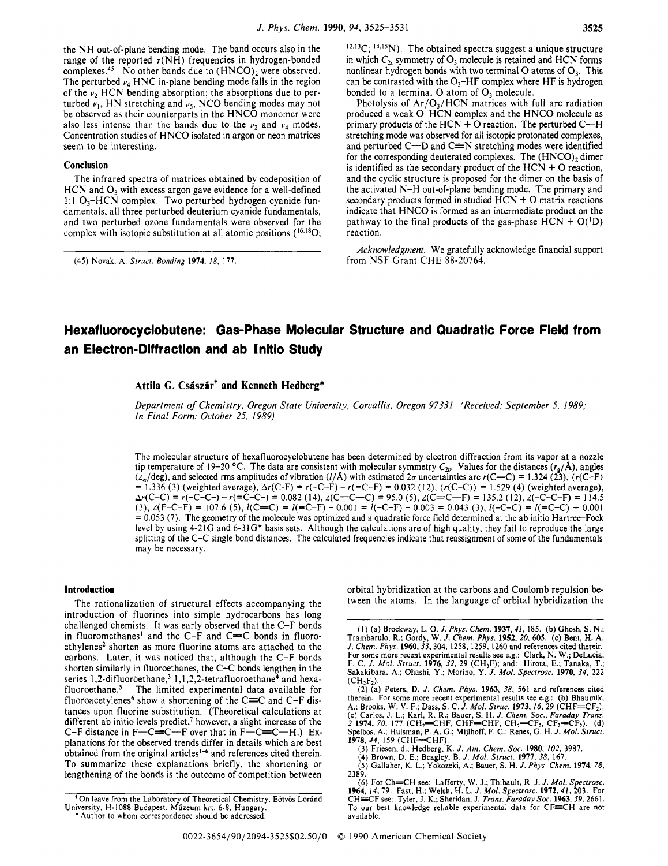the NH out-of-plane bending mode. The band occurs also in the range of the reported  $\tau(NH)$  frequencies in hydrogen-bonded complexes.<sup>45</sup> No other bands due to  $(HNCO)$ , were observed. The perturbed  $\nu_4$  HNC in-plane bending mode falls in the region of the *v*, HCN bending absorption; the absorptions due to perturbed  $\nu_1$ , HN stretching and  $\nu_5$ , NCO bending modes may not be observed as their counterparts in the HNCO monomer were also less intense than the bands due to the  $\nu_2$  and  $\nu_4$  modes. Concentration studies of HNCO isolated in argon or neon matrices seem to be interesting.

#### **Conclusion**

The infrared spectra of matrices obtained by codeposition of HCN and *O3* with excess argon gave evidence for a well-defined 1:1  $O_3$ -HCN complex. Two perturbed hydrogen cyanide fundamentals, all three perturbed deuterium cyanide fundamentals, and two perturbed ozone fundamentals were observed for the complex with isotopic substitution at all atomic positions (<sup>16,18</sup>O;  $12,13C$ ;  $14,15N$ ). The obtained spectra suggest a unique structure in which  $C_{2v}$  symmetry of  $O_3$  molecule is retained and HCN forms nonlinear hydrogen bonds with two terminal 0 atoms of **03.** This can be contrasted with the  $O_3$ -HF complex where HF is hydrogen bonded to a terminal O atom of O<sub>2</sub> molecule.

Photolysis of  $Ar/O<sub>3</sub>/HCN$  matrices with full arc radiation produced a weak 0-HCN complex and the HNCO molecule as primary products of the HCN  $+$  O reaction. The perturbed C- $+$ H stretching mode was observed for all isotopic protonated complexes, and perturbed  $C-D$  and  $C=N$  stretching modes were identified for the corresponding deuterated complexes. The  $(HNCO)_2$  dimer is identified as the secondary product of the  $HCN + O$  reaction, and the cyclic structure is proposed for the dimer on the basis of the activated N-H out-of-plane bending mode. The primary and secondary products formed in studied  $HCN + O$  matrix reactions indicate that HNCO is formed as an intermediate product on the pathway to the final products of the gas-phase  $HCN + O(^1D)$ reaction.

*Acknowledgment.* We gratefully acknowledge financial support from *NSF* Grant CHE 88-20764.

# **Hexafluorocyclobutene: Gas-Phase Molecular Structure and Quadratic Force Field from an Electron-Diffraction and ab Initio Study**

## Attila G. Császár<sup>†</sup> and Kenneth Hedberg\*

*Department of Chemistry. Oregon State University, Corvallis, Oregon 97331 (Received: September 5. 1989; In Final Form: October 25, 1989)* 

The molecular structure of hexafluorocyclobutene has been determined by electron diffraction from its vapor at a nozzle tip temperature of 19-20 °C. The data are consistent with molecular symmetry  $C_{2v}$ . Values for the distances  $(r_g/\text{\AA})$ , angles  $(\lambda_a/\text{deg})$ , and selected rms amplitudes of vibration  $(l/\text{\AA})$  with estimated 2*0* uncertainties are  $r(C=C) = 1.324 (23)$ ,  $(r(C-F) = 1.336 (3)$  (weighted average),  $\Delta r(C-F) = r(-C-F) - r(-C-F) = 0.032 (12)$ ,  $(r(C-C)) = 1.529 (4)$  (weighted avera *Ar(C-C)* = *r(-C-C-) -r(=C-C-)* = 0.082 (14), *L(C=C-C)* = 95.0 (5), *L(C=C-F)* = 135.2 (12), *L(-C-C-F)* = 114.5  $= 0.053$  (7). The geometry of the molecule was optimized and a quadratic force field determined at the ab initio Hartree–Fock level by using  $4-21G$  and  $6-31G^*$  basis sets. Although the calculations are of high quality, they fail to reproduce the large splitting of the *C-C* single bond distances. The calculated frequencies indicate that reassignment of some of the fundamentals may be necessary. (3),  $\angle$ (F-C-F) = 107.6 (5),  $\angle$ (C=C) =  $\angle$ (=C-F) - 0.001 =  $\angle$ (-C-F) - 0.003 = 0.043 (3),  $\angle$ (-C-C) =  $\angle$ (=C-C) + 0.001

#### **Introduction**

The rationalization of structural effects accompanying the introduction of fluorines into simple hydrocarbons has long challenged chemists. It was early observed that the C-F bonds in fluoromethanes<sup>1</sup> and the C-F and C= $C$  bonds in fluoroethylenes<sup>2</sup> shorten as more fluorine atoms are attached to the carbons. Later, it was noticed that, although the C-F bonds shorten similarly in fluoroethanes, the C-C bonds lengthen in the series 1,2-difluoroethane,<sup>3</sup> 1,1,2,2-tetrafluoroethane<sup>4</sup> and hexafluoroethane.<sup>5</sup> The limited experimental data available for fluoroacetylenes<sup>6</sup> show a shortening of the C $=$ C and C-F distances upon fluorine substitution. (Theoretical calculations at different ab initio levels predict,<sup>7</sup> however, a slight increase of the C-F distance in  $F-C=C-F$  over that in  $F-C=C-H$ .) Explanations for the observed trends differ in details which are best obtained from the original articles<sup>1-6</sup> and references cited therein. To summarize these explanations briefly, the shortening or lengthening of the bonds is the outcome of competition between

**<sup>(45)</sup>** Novak, A. *Struct. Bonding* **1974,** *18,* 117.

orbital hybridization at the carbons and Coulomb repulsion between the atoms. In the language of orbital hybridization the

<sup>(</sup>I) (a) Brockway, L. 0. J. *Phys. Chem.* **1937.41,** 185. (b) Ghosh, **S.** N.; Trambarulo, R.; Gordy, W. *J. Chem. Phys.* **1952,** 20,605. (c) Bent, H. **A.**  *J. Chem. Phys.* **1960,33,304,** 1258, 1259, 1260 and references cited therein. For some more recent experimental results see e.g.: Clark, N. W.; DeLucia, F. C. *J. Mol.* Struct. **1976,** 32, 29 (CH3F); and: Hirota, E.; Tanaka, T.; Sakakibara, A.; Ohashi, Y.; Morino, Y. J. *Mol. Spectrosc.* **1970,** *34,* 222  $(CH<sub>2</sub>F<sub>2</sub>)$ .

<sup>(2) (</sup>a) Peters, D. J. *Chem. Phys.* **1963, 38,** 561 and references cited therein. For some more recent experimental results see e.g.: (b) Bhaumik, A.; Brooks, W. V. F.; Dass, S. C. *J. Mol. Struc.* **1973**, *16*, 29 (CHF=CF<sub>2</sub>). (c) Carlos, J. L.; Karl, R. R.; Bauer, S. H. J. Chem. Soc., Farada 1978, 44, 159 (CHF=CHF).

<sup>(3)</sup> Friesen, d.; Hedberg, K. J. Am. Chem. Soc. 1980, 102, 3987.<br>(3) Friesen, d.; Hedberg, K. J. Mol. Struct. 1977, 38, 167.<br>(5) Gallaher, K. L.; Yokozeki, A.; Bauer, S. H. J. Phys. Chem. 1974, 78, 2389.

**<sup>16)</sup>** For Ch=CH see: Lafferty, W. J.; Thibault, R. J. *J. Mol. Spectrosc.* **1964**, *14*, 79. Fast, H.; Welsh, H. L. *J. Mol. Spectrosc.* **1972**, 41, 203. For CH+F see: Tyler, J. K.; Sheridan, J. *Trans. Faraday SOC.* **1963.** *59,* 2661. To our best knowledge reliable experimental data for CF=CH are not available.

<sup>\*</sup> Author to whom correspondence should be addressed.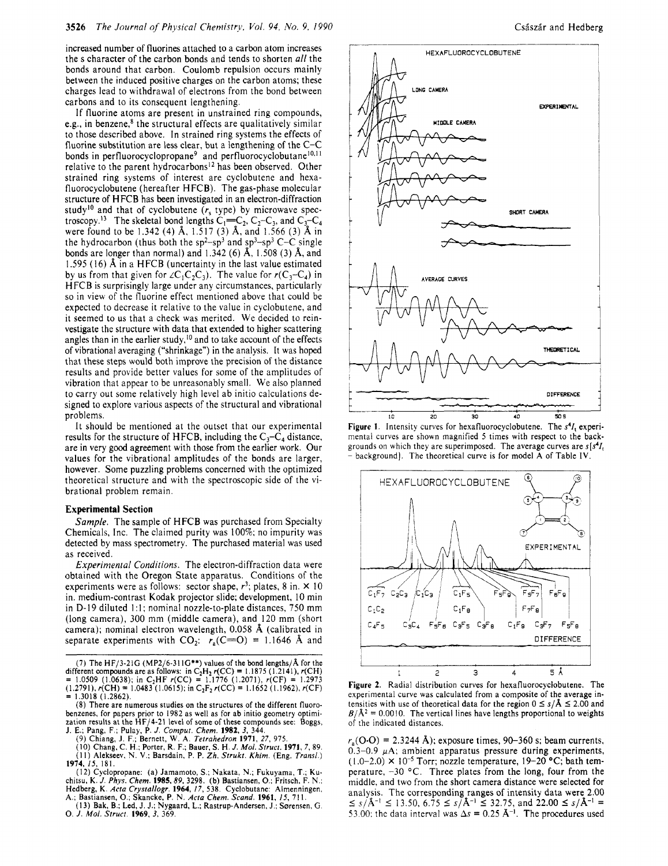increased number of fluorines attached to a carbon atom increases the s character of the carbon bonds and tends to shorten *all* the bonds around that carbon. Coulomb repulsion occurs mainly between the induced positive charges on the carbon atoms; these charges lead to withdrawal of electrons from the bond between carbons and to its consequent lengthening.

If fluorine atoms are present in unstrained ring compounds, e.g., in benzene, $s$  the structural effects are qualitatively similar to those described above. **In** strained ring systems the effects of fluorine substitution are less clear, but a lengthening of the C-C bonds in perfluorocyclopropane<sup>9</sup> and perfluorocyclobutane<sup>10,11</sup> relative to the parent hydrocarbons<sup>12</sup> has been observed. Other strained ring systems of interest are cyclobutene and hexafluorocyclobutene (hereafter HFCB). The gas-phase molecular structure of H FCB has been investigated in an electron-diffraction study<sup>10</sup> and that of cyclobutene  $(r<sub>s</sub>$  type) by microwave spectroscopy.<sup>13</sup> The skeletal bond lengths  $C_1=C_2, C_2-C_3$ , and  $C_3-C_4$ were found to be 1.342 (4) **A,** 1.517 (3) **A,** and 1.566 (3) **A** in the hydrocarbon (thus both the  $sp^2-sp^3$  and  $sp^3-sp^3$  C-C single bonds are longer than normal) and 1.342 (6) **A,** 1.508 (3) **A,** and 1.595 (16) A in a HFCB (uncertainty in the last value estimated by us from that given for  $\angle C_1C_2C_3$ ). The value for  $r(C_3-C_4)$  in H FCB is surprisingly large under any circumstances, particularly so in view of the fluorine effect mentioned above that could be expected to decrease it relative to the value in cyclobutene, and it seemed to us that a check was merited. We decided to reinvestigate the structure with data that extended to higher scattering angles than in the earlier study,<sup>10</sup> and to take account of the effects of vibrational averaging ("shrinkage") in the analysis. It was hoped that these steps would both improve the precision of the distance results and provide better values for some of the amplitudes of vibration that appear to be unreasonably small. We also planned to carry out some relatively high level ab initio calculations designed to explore various aspects of the structural and vibrational problems.

It should be mentioned at the outset that our experimental results for the structure of HFCB, including the  $C_3-C_4$  distance, are in very good agreement with those from the earlier work. Our values for the vibrational amplitudes of the bonds are larger, however. Some puzzling problems concerned with the optimized theoretical structure and with the spectroscopic side of the vibrational problem remain.

#### **Experimental Section**

Sample. The sample of HFCB was purchased from Specialty Chemicals, Inc. The claimed purity was 100%; no impurity was detected by mass spectrometry. The purchased material was used as received.

Experimental Conditions. The electron-diffraction data were obtained with the Oregon State apparatus. Conditions of the experiments were as follows: sector shape,  $r^3$ ; plates, 8 in.  $\times$  10 in. medium-contrast Kodak projector slide; development, IO min in D-19 diluted 1:1; nominal nozzle-to-plate distances, 750 mm (long camera), 300 mm (middle camera), and 120 mm (short camera); nominal electron wavelength, 0.058 **A** (calibrated in separate experiments with  $CO_2$ :  $r_a(C=O) = 1.1646$  Å and

(7) The HF/3-21G (MP2/6-31 **IG\*\*)** values of the bond lengths/A for the different compounds are as follows: in C<sub>2</sub>H<sub>2</sub> r(CC) = 1.1875 (1,2141), r(CH) = 1.0509 (1.0638); in C<sub>2</sub>HF r(CC) = 1.1776 (1.2071), r(CF) = 1.2973  $(1.2791)$ ,  $r(\text{CH}) = 1.0483(1.0615)$ ; in C<sub>2</sub>F<sub>2</sub>  $r(\text{CC}) = 1.1652(1.1962)$ ,  $r(\text{CF}) = 1.3018(1.2862)$ .

(8) There are numerous studies on the structures of the different fluorobenzenes, for papers prior to I982 as well as for ab initio geometry optimization results at the HF/4-21 level of some of these compounds see: **Boggs,**  J. E.; Pang, F.; Pulay, P. *J. Comput. Chem.* **1982, 3,** 344.

(9) Chiang, J. F.; Bernett, W. A. Tetrahedron **1971, 27,** 975. **(IO)** Chang, C. H.: Porter. R. F.; Bauer, *S.* H. *J.* Mol. Struct. **1971, 7,** 89. **(1** I) Alekseev, N. **V.:** Barsdain, P. P. *Zh.* Strukt. *Khim.* **(Eng.** Trans/.) **1974,** 15, 181.

(I 2) Cyclopropane: (a) Jamamoto, *S.;* Nakata, N.; Fukuyama, T.; **Ku**chitsu, **K.** *J. Phys. Chem.* **1985.89,** 3298. (b) Bastiansen, *0.:* Fritsch, F. N.; Hedberg, **K.** Acta Crystallogr. **1964,** *17,* 538. Cyclobutane: Almenningen, A.; Bastiansen, 0.; Skancke. P. N. Acta *Chem.* Scand. **1961,** *IS,* **71** I. (13) Bak, **9.;** Led, J. J.; Nygaard, L.: Rastrup-Andersen, J.; Sorensen, *G.* 

0. *J.* Mol. Struct. **1969. 3,** 369.



**Figure 1.** Intensity curves for hexafluorocyclobutene. The **s41,** experimental curves are shown magnified 5 times with respect *to* the backgrounds on which they are superimposed. The average curves are **s[s44**  - background]. The theoretical curve is for model **A** of Table **IV.** 



**Figure 2.** Radial distribution curves for hexafluorocyclobutene. The experimental curve was calculated from a composite of the average intensities with use of theoretical data for the region  $0 \le s/\lambda \le 2.00$  and  $P/\lambda^2 = 0$ experimental curve was calculated from a composite of the average in- $B/\text{\AA}^2$  = 0.0010. The vertical lines have lengths proportional to weights of the indicated distances.

 $r_s(O \cdot O) = 2.3244 \text{ Å}$ ; exposure times, 90–360 s; beam currents,  $0.3-0.9$   $\mu$ A; ambient apparatus pressure during experiments,  $(1.0-2.0) \times 10^{-5}$  Torr; nozzle temperature,  $19-20$  °C; bath temperature,  $-30$  °C. Three plates from the long, four from the middle, and two from the short camera distance were selected for analysis. The corresponding ranges of intensity data were 2.00  $5 \le s/\text{\AA}^{-1} \le 13.50, 6.75 \le s/\text{\AA}^{-1} \le 32.75, \text{ and } 22.00 \le s/\text{\AA}^{-1} = 15.50$ 53.00; the data interval was  $\Delta s = 0.25 \text{ Å}^{-1}$ . The procedures used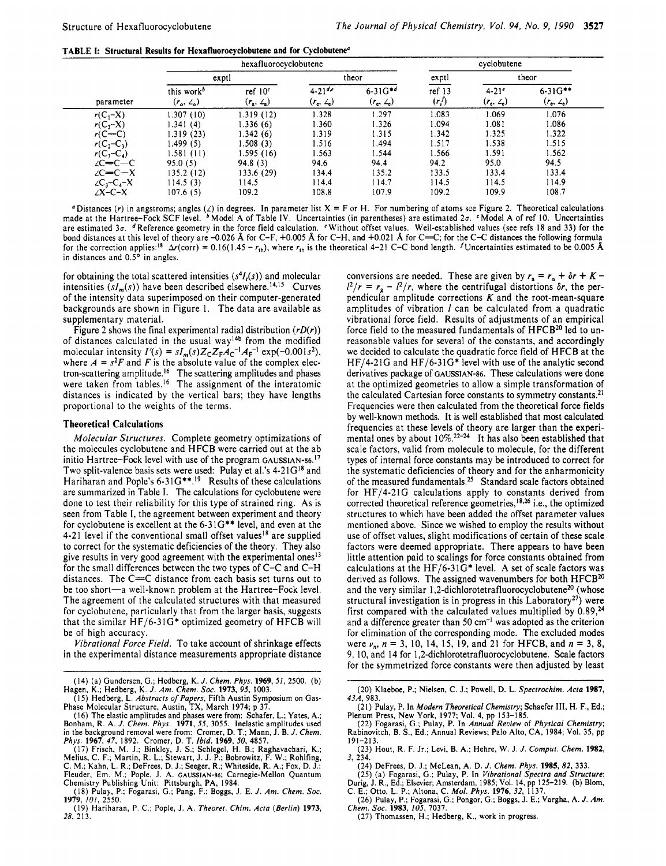**TABLE I: Structural Results for Hexafluorocvclobutene and for Crclobutene"** 

|                    |                                             | hexafluorocyclobutene          |                                     |                                   |                   | cyclobutene                                      |                                     |
|--------------------|---------------------------------------------|--------------------------------|-------------------------------------|-----------------------------------|-------------------|--------------------------------------------------|-------------------------------------|
|                    |                                             | exptl                          |                                     | theor                             | exptl             |                                                  | theor                               |
| parameter          | this work <sup>b</sup><br>$(r_a, \angle a)$ | ref $10c$<br>$(r_a, \angle_a)$ | $4 - 21^{d,e}$<br>$(r_e, \angle_e)$ | $6-31G^{*d}$<br>$(r_e, \angle_e)$ | ref 13<br>$(r_s)$ | $4.21$ <sup>e</sup><br>$(r_e, \, \mathcal{L}_e)$ | $6 - 31G^{**}$<br>$(r_e, \angle_e)$ |
| $r(C_1-X)$         | 1.307(10)                                   | 1.319(12)                      | 1.328                               | 1.297                             | 1.083             | 1.069                                            | 1.076                               |
| $r(C, -X)$         | 1.341(4)                                    | 1.336(6)                       | 1.360                               | 1.326                             | 1.094             | 1.081                                            | 1.086                               |
| $r(C=C)$           | 1.319(23)                                   | 1.342(6)                       | 1.319                               | 1.315                             | 1.342             | 1.325                                            | 1.322                               |
| $r(C, -C_1)$       | 1.499 (5)                                   | 1.508(3)                       | 1.516                               | 1.494                             | 1.517             | 1.538                                            | 1.515                               |
| $r(C_1-C_4)$       | 1.581(11)                                   | 1.595(16)                      | 1.563                               | 1.544                             | 1.566             | 1.591                                            | 1.562                               |
| $2C=C-C$           | 95.0(5)                                     | 94.8(3)                        | 94.6                                | 94.4                              | 94.2              | 95.0                                             | 94.5                                |
| $\angle C = C - X$ | 135.2(12)                                   | 133.6(29)                      | 134.4                               | 135.2                             | 133.5             | 133.4                                            | 133.4                               |
| $2C_1-C_4-X$       | 114.5(3)                                    | 114.5                          | 114.4                               | 114.7                             | 114.5             | 114.5                                            | 114.9                               |
| $\angle X$ -C-X    | 107.6(5)                                    | 109.2                          | 108.8                               | 107.9                             | 109.2             | 109.9                                            | 108.7                               |

" Distances (r) in angstroms; angles  $(2)$  in degrees. In parameter list  $X = F$  or H. For numbering of atoms sce Figure 2. Theoretical calculations made at the Hartree-Fock SCF level. <sup>b</sup> Model A of Table IV. Uncertainties are estimated  $3\sigma$ . dReference geometry in the force field calculation. Without offset values. Well-established values (see refs 18 and 33) for the bond distances at this level of theory are -0.026 *8,* for C-F, +0.005 *8,* for *C-H,* and +0.021 *8,* for *C=C;* for the *C-C* distances the following formula for the correction applies:<sup>18</sup>  $\Delta r$ (corr) = 0.16(1.45 -  $r_{\text{th}}$ ), where  $r_{\text{th}}$  is the theoretical 4-21 C-C bond length. *I* Uncertainties estimated to be 0.005 **Å** in distances and 0.5° in angles.

for obtaining the total scattered intensities  $(s<sup>4</sup>I<sub>t</sub>(s))$  and molecular intensities  $(sI_m(s))$  have been described elsewhere.<sup>14,15</sup> Curves of the intensity data superimposed on their computer-generated backgrounds are shown in Figure I. The data are available as supplementary material.

Figure 2 shows the final experimental radial distribution *(rD(r))*  of distances calculated in the usual way'4b from the modified molecular intensity  $I'(s) = sI_m(s)Z_CZ_FA_C^{-1}A_F^{-1} \exp(-0.001s^2)$ , where  $A = s^2F$  and *F* is the absolute value of the complex electron-scattering amplitude.I6 The scattering amplitudes and phases were taken from tables.<sup>16</sup> The assignment of the interatomic distances is indicated by the vertical bars; they have lengths proportional to the weights of the terms.

### **Theoretical Calculations**

*Molecular Structures.* Complete geometry optimizations of the molecules cyclobutene and HFCB were carried out at the ab initio Hartree-Fock level with use of the program GAUSSIAN-86.<sup>17</sup> Two split-valence basis sets were used: Pulay et al.'s  $4-21G^{18}$  and Hariharan and Pople's 6-31G\*\*.<sup>19</sup> Results of these calculations are summarized in Table **1.** The calculations for cyclobutene were done to test their reliability for this type of strained ring. **As** is seen from Table I, the agreement between experiment and theory for cyclobutene is excellent at the 6-31G\*\* level, and even at the 4-21 level if the conventional small offset values<sup>18</sup> are supplied to correct for the systematic deficiencies of the theory. They also give results in very good agreement with the experimental ones<sup>13</sup> for the small differences between the two types of C-C and C-H distances. The C=C distance from each basis set turns out to be too short-a well-known problem at the Hartree-Fock level. The agreement of the calculated structures with that measured for cyclobutene, particularly that from the larger basis, suggests that the similar HF/6-31G\* optimized geometry of HFCB will be of high accuracy.

*Vibrational Force Field.* To take account of shrinkage effects in the experimental distance measurements appropriate distance conversions are needed. These are given by  $r_a = r_a + \delta r + K$  $I^2/r = r_g - I^2/r$ , where the centrifugal distortions  $\delta r$ , the perpendicular amplitude corrections *K* and the root-mean-square amplitudes of vibration *I* can be calculated from a quadratic vibrational force field. Results of adjustments of an empirical force field to the measured fundamentals of HFCB<sup>20</sup> led to unreasonable values for several of the constants, and accordingly we decided to calculate the quadratic force field of HFCB at the HF/4-21G and HF/6-31G\* level with use of the analytic second derivatives package of GAUSSIAN-86. These calculations were done at the optimized geometries to allow a simple transformation of the calculated Cartesian force constants to symmetry constants.<sup>21</sup> Frequencies were then calculated from the theoretical force fields by well-known methods. It is well established that most calculated frequencies at these levels of theory are larger than the experimental ones by about  $10\%$ .<sup>22-24</sup> It has also been established that scale factors, valid from molecule to molecule, for the different types of internal force constants may be introduced to correct for the systematic deficiencies of theory and for the anharmonicity of the measured fundamentals.<sup>25</sup> Standard scale factors obtained for HF/4-21G calculations apply to constants derived from corrected theoretical reference geometries,<sup>18,26</sup> i.e., the optimized structures to which have been added the offset parameter values mentioned above. Since we wished to employ the results without use of offset values, slight modifications of certain of these scale factors were deemed appropriate. There appears to have been little attention paid to scalings for force constants obtained from calculations at the HF/6-31G\* level. **A** set of scale factors was derived as follows. The assigned wavenumbers for both HFCB<sup>20</sup> and the very similar 1 **,2-dichlorotetrafluorocyclobutenezo** (whose structural investigation is in progress in this Laboratory<sup>27</sup>) were first compared with the calculated values multiplied by **0.89,24**  and a difference greater than 50  $cm^{-1}$  was adopted as the criterion for elimination of the corresponding mode. The excluded modes were *v,, n* = 3, IO, 14, 15, 19, and 21 for HFCB, and *n* = 3, 8, 9, 10, and 14 for **1,2-dichlorotetrafluorocyclobutene.** Scale factors for the symmetrized force constants were then adjusted by least

<sup>(14)</sup> (a) Gundersen, G.; Hedberg, K. *J. Chem. Phys.* **1969.51,** 2500. (b) Hagen, K.; Hedberg, K. *J. Am. Chem.* **SOC. 1973, 95,** 1003.

<sup>(</sup>I 5) Hedberg, L. *Abstracts* of *Papers,* Fifth Austin Symposium on Gas-Phase Molecular Structure, Austin, TX, March 1974; p 37.

<sup>(16)</sup> The elastic amplitudes and phases were from: Schafer, L.; Yates, A.; Bonham, R. A. J. Chem. Phys. 1971, 55, 3055. Inelastic amplitudes used<br>in the background removal were from: Cromer, D. T.; Mann, J. B. J. Chem.<br>Phys. 1967, 47, 1892. Cromer, D. T. Ibid. 1969, 50, 4857.<br>(17) Frisch, M. J.;

Melius, C. F.; Martin, R. L.; Štewart, J. J. P.; Bobrowitz, F. W.; Rohlfing,<br>C. M.; Kahn, L. R.; DeFrees, D. J.; Seeger, R.; Whiteside, R. A.; Fox, D. J.;<br>Fleuder, Em. M.; Pople, J. A. GAUSSIAN-86; Carnegie-Mellon Quantum<br>

<sup>(18)</sup> Pulay, P.; Fogarasi, G.; Pang, F.; Boggs, **J.** E. *J. Am. Chem. SOC.*  **1979,** *101,* 2550.

<sup>(19)</sup> Hariharan, P. C.; Pople, J. A. *Theorer. Chim. Acta (Berlin)* **1973,**  *28,* 213.

<sup>(20)</sup> Klaeboe, P.; Nielsen, C. J.; Powell, D. L. *Spectrochim. Acta* **1987,**  *43A,* 983.

**<sup>(21)</sup>** Pulay. P. **In** *Modern Theoretical Chemistry;* Schaefer **111,** H. F., Ed.; Plenum Press, New York, 1977; Vol. 4, pp 153-185.

<sup>(22)</sup> Fogarasi, G.; Pulay, P. In *Annual Reuiew* of *Physicol Chemistry;*  Rabinovitch, B. S., Ed.; Annual Reviews; Palo Alto, CA, 1984; Vol. 35, pp 191-213.

<sup>(23)</sup> Hout, R. F. Jr.; Levi, B. A,; Hehre, W. J. *J. Comput. Chem.* **1982,**  *3,* **234.** 

<sup>(24)</sup> DeFrees, D. J.; McLean, A. D. J. Chem. Phys. 1985, 82, 333.<br>
(25) (a) Fogarasi, G.; Pulay, P. In Vibrational Spectra and Structure;<br>
Durig, J. R., Ed.; Elsevier, Amsterdam, 1985; Vol. 14, pp 125-219. (b) Blom,<br>
C. E.

*Chem.* **SOC. 1983, 105,** 7037. (27) Thomassen, H.; Hedberg, K., work in progress.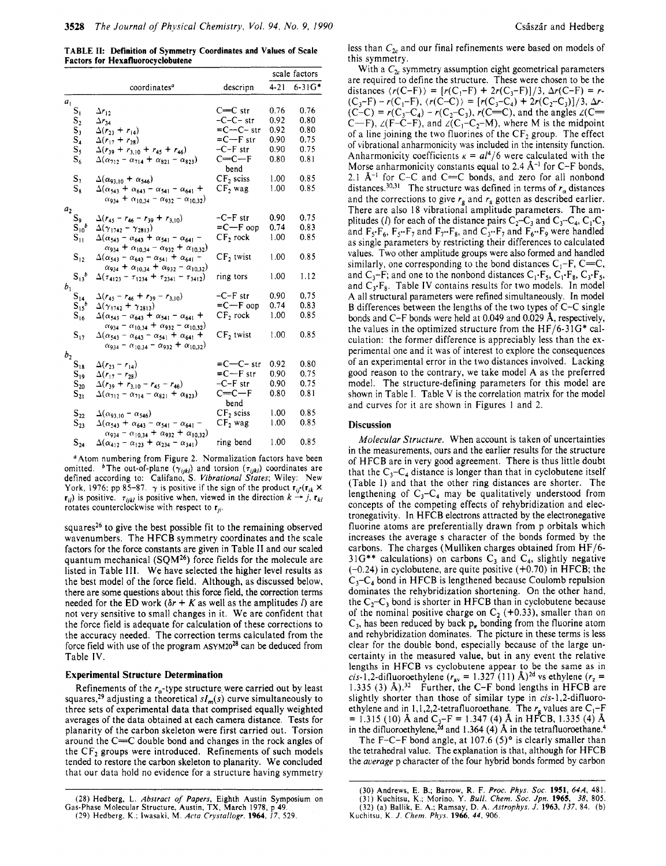**TABLE 11: Definition** *of* **Symmetry Coordinates and Values of Scale Factors for Hexafluorocvclobutene** 

|                          |                                                                                                                                          |                       |          | scale factors |
|--------------------------|------------------------------------------------------------------------------------------------------------------------------------------|-----------------------|----------|---------------|
|                          | coordinates <sup>a</sup>                                                                                                                 | descripn              | $4 - 21$ | $6 - 31G*$    |
| $\boldsymbol{a}_1$       |                                                                                                                                          |                       |          |               |
| $S_1$                    | $\Delta r_{12}$                                                                                                                          | $C=C$ str             | 0.76     | 0.76          |
| s,                       | $\Delta r_{34}$                                                                                                                          | $-C-C-$ str           | 0.92     | 0.80          |
| $S_1$                    | $\Delta(r_{23} + r_{14})$                                                                                                                | $= C - C - str$       | 0.92     | 0.80          |
| $S_4$                    | $\Delta(r_{17} + r_{28})$                                                                                                                | $= C - F$ str         | 0.90     | 0.75          |
| $S_{5}$                  | $\Delta(r_{39} + r_{3,10} + r_{45} + r_{46})$                                                                                            | $-C-F$ str            | 0.90     | 0.75          |
| $S_6$                    | $\Delta(\alpha_{212} - \alpha_{214} + \alpha_{821} - \alpha_{823})$                                                                      | $C=C-F$<br>bend       | 0.80     | 0.81          |
| S,                       | $\Delta(\alpha_{93,10} + \alpha_{546})$                                                                                                  | $CF2$ sciss           | 1.00     | 0.85          |
| $S_8$                    | $\Delta(\alpha_{543} + \alpha_{643} - \alpha_{541} - \alpha_{641} +$<br>$\alpha_{934} + \alpha_{10,34} - \alpha_{932} - \alpha_{10,32})$ | $CF2$ wag             | 1.00     | 0.85          |
| $\boldsymbol{a}_2$       |                                                                                                                                          |                       |          |               |
| $S_9$                    | $\Delta(r_{45}-r_{46}-r_{39}+r_{3,10})$                                                                                                  | $-C-F$ str            | 0.90     | 0.75          |
| $S_{10}^{\phantom{10}b}$ | $\Delta(\gamma_{1742} - \gamma_{2813})$                                                                                                  | $= C - F$ oop         | 0.74     | 0.83          |
| $S_{11}$                 | $\Delta(\alpha_{543} - \alpha_{643} + \alpha_{541} - \alpha_{641} -$                                                                     | CF <sub>2</sub> rock  | 1.00     | 0.85          |
| $\mathbf{S}_{12}$        | $\alpha_{934} + \alpha_{10,34} - \alpha_{932} + \alpha_{10,32}$<br>$\Delta(\alpha_{543} - \alpha_{643} - \alpha_{541} + \alpha_{641} -$  | CF <sub>2</sub> twist | 1.00     | 0.85          |
|                          | $\alpha_{934} + \alpha_{10,34} + \alpha_{932} - \alpha_{10,32})$                                                                         |                       |          |               |
| $S_{13}^{\circ}$         | $\Delta(\tau_{4123} - \tau_{1234} + \tau_{2341} - \tau_{3412})$                                                                          | ring tors             | 1.00     | 1.12          |
| $b_1\,$                  |                                                                                                                                          |                       |          |               |
| $S_{14}S_{15}$           | $\Delta(r_{45}-r_{46}+r_{39}-r_{3,10})$                                                                                                  | $-C-F$ str            | 0.90     | 0.75          |
|                          | $\Delta(\gamma_{1742} + \gamma_{2813})$                                                                                                  | $= C - F$ oop         | 0.74     | 0.83          |
| $\mathbf{S}_{16}$        | $\Delta(\alpha_{543} - \alpha_{643} + \alpha_{541} - \alpha_{641} +$                                                                     | CF, rock              | 1.00     | 0.85          |
|                          | $\alpha_{934} - \alpha_{10,34} + \alpha_{932} - \alpha_{10,32})$                                                                         |                       | 1.00     | 0.85          |
| $S_{17}$                 | $\Delta(\alpha_{543} - \alpha_{643} - \alpha_{541} + \alpha_{641} +$<br>$\alpha_{934} - \alpha_{10,34} - \alpha_{932} + \alpha_{10,32})$ | CF <sub>2</sub> twist |          |               |
| $\boldsymbol{b}_2$       |                                                                                                                                          |                       |          |               |
| $\mathbf{S}_{18}$        | $\Delta(r_{23}-r_{14})$                                                                                                                  | $= C - C - str$       | 0.92     | 0.80          |
| $S_{19}$                 | $\Delta(r_{17} - r_{28})$                                                                                                                | $= C - F$ str         | 0.90     | 0.75          |
| $S_{20}$                 | $\Delta(r_{39} + r_{3,10} - r_{45} - r_{46})$                                                                                            | $-C-F str$            | 0.90     | 0.75          |
| $\mathbf{S_{21}}$        | $\Delta(\alpha_{712} - \alpha_{714} - \alpha_{821} + \alpha_{823})$                                                                      | $C=C-F$               | 080      | 0.81          |
|                          |                                                                                                                                          | bend                  |          |               |
| $\mathbf{S_{22}}$        | $\Delta(\alpha_{93,10} - \alpha_{546})$                                                                                                  | $CF2$ sciss           | 1.00     | 0.85          |
| $S_{23}$                 | $\Delta(\alpha_{543} + \alpha_{643} - \alpha_{541} - \alpha_{641} -$                                                                     | CF, wag               | 1.00     | 0.85          |
|                          | $\alpha_{934} - \alpha_{10,34} + \alpha_{932} + \alpha_{10,32}$                                                                          |                       |          |               |
| $\mathbf{S}_{24}$        | $\Delta(\alpha_{412} - \alpha_{123} + \alpha_{234} - \alpha_{341})$                                                                      | ring bend             | 1.00     | 0.85          |

<sup>a</sup> Atom numbering from Figure 2. Normalization factors have been omitted <sup>b</sup>The out-of-plane  $(\gamma_{ijkl})$  and torsion  $(\tau_{ijkl})$  coordinates are defined according to: Califano, **S.** Vibrational Srates; Wiley: New York. 1976: pp 85-87.  $\gamma$  is positive if the sign of the product  $\mathbf{r}_{ii}(\mathbf{r}_{ik} \times \mathbf{r}_{ij})$  $\mathbf{r}_{ij}$ ) is positive.  $\tau_{ijkl}$  is positive when, viewed in the direction  $k \rightarrow j$ ,  $\mathbf{r}_{kl}$ rotates counterclockwise with respect to  $\mathbf{r}_{ii}$ .

squares<sup>26</sup> to give the best possible fit to the remaining observed wavenumbers. The HFCB symmetry coordinates and the scale factors for the force constants are given in Table **I1** and our scaled quantum mechanical **(SQM26)** force fields for the molecule are listed in Table 111. We have selected the higher level results as the best model of the force field. Although, as discussed below, there are some questions about this force field, the correction terms needed for the ED work  $(\delta r + K$  as well as the amplitudes *l*) are not very sensitive to small changes in it. We are confident that the force field is adequate for calculation of these corrections to the accuracy needed. The correction terms calculated from the force field with use of the program  $ASYM20^{28}$  can be deduced from Table **IV.** 

#### **Experimental Structure Determination**

Refinements of the  $r_{\alpha}$ -type structure were carried out by least squares,<sup>29</sup> adjusting a theoretical  $sI_m(s)$  curve simultaneously to three sets of experimental data that comprised equally weighted averages of the data obtained at each camera distance. Tests for planarity of the carbon skeleton were first carried out. Torsion around the  $C=$ C double bond and changes in the rock angles of the  $CF<sub>2</sub>$  groups were introduced. Refinements of such models tended to restore the carbon skeleton to planarity. We concluded that our data hold no evidence for a structure having symmetry less than  $C_{2v}$  and our final refinements were based on models of this symmetry.

With a  $C_{2v}$  symmetry assumption eight geometrical parameters are required to define the structure. These were chosen to be the distances  $\langle r(C-F) \rangle = [r(C_1-F) + 2r(C_3-F)]/3$ ,  $\Delta r(C-F) = r$ - $(C_3-F) - r(C_1-F)$ ,  $\langle r(C-C) \rangle = [r(C_3-C_4) + 2r(C_2-C_3)]/3$ ,  $\Delta r$ - $(C-C) = r(C_3-C_4) - r(C_2-C_3)$ ,  $r(C=C)$ , and the angles  $\angle$ (C= C-F),  $\angle$ (F-C-F), and  $\angle$ (C<sub>1</sub>-C<sub>2</sub>-M), where M is the midpoint of a line joining the two fluorines of the  $CF<sub>2</sub>$  group. The effect of vibrational anharmonicity was included in the intensity function. Anharmonicity coefficients  $\kappa = a l^4/6$  were calculated with the Morse anharmonicity constants equal to 2.4 Å<sup>-1</sup> for C-F bonds, 2.1  $\AA$ <sup>-1</sup> for C-C and C= $\text{C}$  bonds, and zero for all nonbond distances.<sup>30,31</sup> The structure was defined in terms of  $r_\alpha$  distances and the corrections to give  $r_g$  and  $r_g$  gotten as described earlier. There are also 18 vibrational amplitude parameters. The amplitudes (*I*) for each of the distance pairs  $C_2 - C_3$  and  $C_3 - C_4$ ,  $C_1 - C_3$ and  $F_5 \cdot F_6$ ,  $F_5 \cdot F_7$  and  $F_7 \cdot F_8$ , and  $C_3 \cdot F_7$  and  $F_6 \cdot F_9$  were handled as single parameters by restricting their differences to calculated values. Two other amplitude groups were also formed and handled similarly, one corresponding to the bond distances  $C_1-F$ ,  $C=C$ , and  $C_3$ -F; and one to the nonbond distances  $C_1$ ·F<sub>5</sub>,  $C_1$ ·F<sub>8</sub>,  $C_3$ ·F<sub>5</sub>, and  $C_3$ -F<sub>8</sub>. Table IV contains results for two models. In model **A** all structural parameters were refined simultaneously. In model B differences between the lengths of the two types of C-C single bonds and C-F bonds were held at 0.049 and 0.029 **A,** respectively, the values in the optimized structure from the HF/6-31G\* calculation: the former difference **is** appreciably less than the experimental one and it was of interest to explore the consequences of an experimental error in the two distances involved. Lacking good reason to the contrary, we take model A as the preferred model. The structure-defining parameters for this model are shown in Table I. Table **V** is the correlation matrix for the model and curves for it are shown in Figures 1 and 2.

## **Discussion**

Molecular Structure. When account is taken of uncertainties in the measurements, ours and the earlier results for the structure of HFCB are in very good agreement. There is thus little doubt that the  $C_3-C_4$  distance is longer than that in cyclobutene itself (Table 1) and that the other ring distances are shorter. The lengthening of  $C_3-C_4$  may be qualitatively understood from concepts of the competing effects of rehybridization and electronegativity. In HFCB electrons attracted by the electronegative fluorine atoms are preferentially drawn from p orbitals which increases the average **s** character of the bonds formed by the carbons. The charges (Mulliken charges obtained from HF/6-  $31G^{**}$  calculations) on carbons  $C_3$  and  $C_4$ , slightly negative  $(-0.24)$  in cyclobutene, are quite positive  $(+0.70)$  in HFCB; the  $C_3-C_4$  bond in HFCB is lengthened because Coulomb repulsion dominates the rehybridization shortening. On the other hand, the  $C_2-C_3$  bond is shorter in HFCB than in cyclobutene because of the nominal positive charge on  $C_2$  (+0.33), smaller than on  $C_3$ , has been reduced by back  $p<sub>r</sub>$  bonding from the fluorine atom and rehybridization dominates. The picture in these terms is less clear for the double bond, especially because of the large uncertainty in the measured value, but in any event the relative lengths in HFCB vs cyclobutene appear to be the same as in *cis-* 1,2-difluoroethylene  $(r_{av} = 1.327 (11)$  Å)<sup>2d</sup> vs ethylene  $(r_z =$ 1.335 (3)  $\text{\AA}$ ).<sup>32</sup> Further, the C-F bond lengths in HFCB are slightly shorter than those of similar type in cis-1,2-difluoroethylene and in 1,1,2,2-tetrafluoroethane. The  $r_a$  values are  $C_1-F$  $= 1.315$  (10) Å and C<sub>3</sub>-F = 1.347 (4) Å in HFCB, 1.335 (4) Å in the difluoroethylene,<sup>2d</sup> and 1.364 (4)  $\AA$  in the tetrafluoroethane.<sup>4</sup>

The F-C-F bond angle, at 107.6  $(5)$ <sup>o</sup> is clearly smaller than the tetrahedral value. The explanation is that, although for HFCB the average p character of the four hybrid bonds formed by carbon

<sup>(28)</sup> **Hedberg, L.** *Abstracr oJ Papers,* Eighth Austin Symposium on (29) Hedberg. K.; Iwasaki. M. *Acta Crystallogr.* **1964.** *17,* 529. Gas-Phase Molecular Structure, Austin, TX, March 1978, **p** 49.

<sup>(30)</sup> Andrews, E. B.; Barrow, R. F. Proc. Phys. *SOC.* **1951,** *64A,* 481. (31) Kuchitsu, K.; Morino, Y. *Bull. Chem. SOC. Jpn.* **1965,** *38,* 805. (32) (a) Ballik, **E.** A,; Ramsay, D. **A.** *Asrrophys. J.* **1963,** *137,* 84. **(b)**  Kuchitsu, K. *J. Chem. Phys.* **1966,** *44,* 906.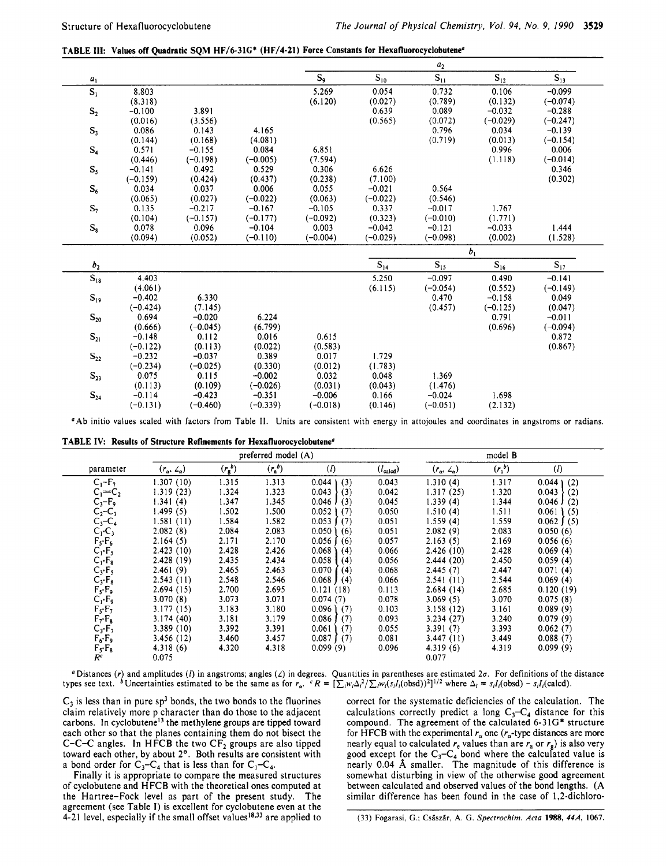**TABLE 111: Values off Quadratic SQM HF/6-31G\* (HF/4-21) Force Constants for Hexafluorocyclobutene'** 

|                   |            |            |            |            |                   | $\boldsymbol{a}_2$ |                   |            |  |
|-------------------|------------|------------|------------|------------|-------------------|--------------------|-------------------|------------|--|
| $a_1$             |            |            |            | $S_9$      | $S_{10}$          | $\mathbf{S}_{11}$  | $\mathbf{S}_{12}$ | $S_{13}$   |  |
| $\mathbf{S}_1$    | 8.803      |            |            | 5.269      | 0.054             | 0.732              | 0.106             | $-0.099$   |  |
|                   | (8.318)    |            |            | (6.120)    | (0.027)           | (0.789)            | (0.132)           | $(-0.074)$ |  |
| $\mathbf{S}_2$    | $-0.100$   | 3.891      |            |            | 0.639             | 0.089              | $-0.032$          | $-0.288$   |  |
|                   | (0.016)    | (3.556)    |            |            | (0.565)           | (0.072)            | $(-0.029)$        | $(-0.247)$ |  |
| $S_3$             | 0.086      | 0.143      | 4.165      |            |                   | 0.796              | 0.034             | $-0.139$   |  |
|                   | (0.144)    | (0.168)    | (4.081)    |            |                   | (0.719)            | (0.013)           | $(-0.154)$ |  |
| $\mathbf{S}_4$    | 0.571      | $-0.155$   | 0.084      | 6.851      |                   |                    | 0.996             | 0.006      |  |
|                   | (0.446)    | $(-0.198)$ | $(-0.005)$ | (7.594)    |                   |                    | (1.118)           | $(-0.014)$ |  |
| $S_{5}$           | $-0.141$   | 0.492      | 0.529      | 0.306      | 6.626             |                    |                   | 0.346      |  |
|                   | $(-0.159)$ | (0.424)    | (0.437)    | (0.238)    | (7.100)           |                    |                   | (0.302)    |  |
| $\mathbf{S}_6$    | 0.034      | 0.037      | 0.006      | 0.055      | $-0.021$          | 0.564              |                   |            |  |
|                   | (0.065)    | (0.027)    | $(-0.022)$ | (0.063)    | $(-0.022)$        | (0.546)            |                   |            |  |
| $S_7$             | 0.135      | $-0.217$   | $-0.167$   | $-0.105$   | 0.337             | $-0.017$           | 1.767             |            |  |
|                   | (0.104)    | $(-0.157)$ | $(-0.177)$ | $(-0.092)$ | (0.323)           | $(-0.010)$         | (1.771)           |            |  |
| $\mathbf{S_8}$    | 0.078      | 0.096      | $-0.104$   | 0.003      | $-0.042$          | $-0.121$           | $-0.033$          | 1.444      |  |
|                   | (0.094)    | (0.052)    | $(-0.110)$ | $(-0.004)$ | $(-0.029)$        | $(-0.098)$         | (0.002)           | (1.528)    |  |
|                   |            |            |            |            |                   |                    | b <sub>1</sub>    |            |  |
| b <sub>2</sub>    |            |            |            |            | $\mathbf{S}_{14}$ | $S_{15}$           | $S_{16}$          | $S_{17}$   |  |
| $\mathbf{S}_{18}$ | 4.403      |            |            |            | 5.250             | $-0.097$           | 0.490             | $-0.141$   |  |
|                   | (4.061)    |            |            |            | (6.115)           | $(-0.054)$         | (0.552)           | $(-0.149)$ |  |
| $\mathbf{S}_{19}$ | $-0.402$   | 6.330      |            |            |                   | 0.470              | $-0.158$          | 0.049      |  |
|                   | $(-0.424)$ | (7.145)    |            |            |                   | (0.457)            | $(-0.125)$        | (0.047)    |  |
| $\mathbf{S}_{20}$ | 0.694      | $-0.020$   | 6.224      |            |                   |                    | 0.791             | $-0.011$   |  |
|                   | (0.666)    | $(-0.045)$ | (6.799)    |            |                   |                    | (0.696)           | $(-0.094)$ |  |
| $\mathbf{S}_{21}$ | $-0.148$   | 0.112      | 0.016      | 0.615      |                   |                    |                   | 0.872      |  |
|                   | $(-0.122)$ | (0.113)    | (0.022)    | (0.583)    |                   |                    |                   | (0.867)    |  |
| $S_{22}$          | $-0.232$   | $-0.037$   | 0.389      | 0.017      | 1.729             |                    |                   |            |  |
|                   | $(-0.234)$ | $(-0.025)$ | (0.330)    | (0.012)    | (1.783)           |                    |                   |            |  |
| $S_{23}$          | 0.075      | 0.115      | $-0.002$   | 0.032      | 0.048             | 1.369              |                   |            |  |
|                   | (0.113)    | (0.109)    | $(-0.026)$ | (0.031)    | (0.043)           | (1.476)            |                   |            |  |
| $S_{24}$          | $-0.114$   | $-0.423$   | $-0.351$   | $-0.006$   | 0.166             | $-0.024$           | 1.698             |            |  |
|                   | $(-0.131)$ | $(-0.460)$ | $(-0.339)$ | $(-0.018)$ | (0.146)           | $(-0.051)$         | (2.132)           |            |  |
|                   |            |            |            |            |                   |                    |                   |            |  |

'Ab initio values scaled with factors from Table **11.** Units are consistent with energy in attojoules and coordinates in angstroms or radians.

|  |  |  |  |  | TABLE IV: Results of Structure Refinements for Hexafluorocyclobutene <sup>a</sup> |
|--|--|--|--|--|-----------------------------------------------------------------------------------|
|--|--|--|--|--|-----------------------------------------------------------------------------------|

|                        |                            |               | preferred model (A) |                           |                      |                                 | model B   |                   |
|------------------------|----------------------------|---------------|---------------------|---------------------------|----------------------|---------------------------------|-----------|-------------------|
| parameter              | $(r_{\alpha}, 2_{\alpha})$ | $(r_{g}^{b})$ | (r, b)              | $\left( l\right)$         | $(l_{\text{calcd}})$ | $(r_{\alpha}, \angle_{\alpha})$ | $(r_a^b)$ | $\left( l\right)$ |
| $C_1-F_7$              | 1.307(10)                  | 1.315         | 1.313               | 0.044<br>(3)              | 0.043                | 1.310(4)                        | 1.317     | 0.044<br>(2)      |
| $C_1=C_2$              | 1.319(23)                  | 1.324         | 1.323               | 0.043<br>(3)              | 0.042                | 1.317 (25)                      | 1.320     | 0.043<br>(2)      |
| $C_3-F_9$              | 1.341(4)                   | 1.347         | 1.345               | $0.046$ J<br>(3)          | 0.045                | 1.339(4)                        | 1.344     | $0.046$ J<br>(2)  |
| $C_2 - C_3$            | 1.499(5)                   | 1.502         | 1.500               | 0.052<br>(7)              | 0.050                | 1.510(4)                        | 1.511     | $0.061$ (5)       |
| $C_3 - C_4$            | 1.581 (11)                 | 1.584         | 1.582               | $0.053$ $(7)$             | 0.051                | 1.559(4)                        | 1.559     | $0.062$ $(5)$     |
| $C_1 \cdot C_3$        | 2.082(8)                   | 2.084         | 2.083               | 0.050<br>(6)              | 0.051                | 2.082(9)                        | 2.083     | 0.050(6)          |
| $F_s$ · $F_6$          | 2.164(5)                   | 2.171         | 2.170               | 0.056<br>(6)              | 0.057                | 2.163(5)                        | 2.169     | 0.056(6)          |
| $C_1 \cdot F_5$        | 2.423(10)                  | 2.428         | 2.426               | 0.068<br>(4)              | 0.066                | 2.426(10)                       | 2.428     | 0.069(4)          |
| $C_1 \cdot F_8$        | 2.428(19)                  | 2.435         | 2.434               | 0.058<br>(4)              | 0.056                | 2.444(20)                       | 2.450     | 0.059(4)          |
| $C_3 \cdot F_5$        | 2.461(9)                   | 2.465         | 2.463               | 0.070<br>(4)              | 0.068                | 2.445(7)                        | 2.447     | 0.071(4)          |
| $C_3 \cdot F_8$        | 2.543(11)                  | 2.548         | 2.546               | $0.068$ J (4)             | 0.066                | 2.541(11)                       | 2.544     | 0.069(4)          |
| $F_S \cdot F_9$        | 2.694(15)                  | 2.700         | 2.695               | 0.121(18)                 | 0.113                | 2.684(14)                       | 2.685     | 0.120(19)         |
| $C_1 \cdot F_9$        | 3.070(8)                   | 3.073         | 3.071               | 0.074(7)                  | 0.078                | 3.069(5)                        | 3.070     | 0.075(8)          |
| $F_s \cdot F_7$        | 3.177(15)                  | 3.183         | 3.180               | 0.096<br>(7)              | 0.103                | 3.158 (12)                      | 3.161     | 0.089(9)          |
| $F_{\gamma}F_{\kappa}$ | 3.174(40)                  | 3.181         | 3.179               | $0.086$ $\sqrt{ }$<br>(7) | 0.093                | 3.234(27)                       | 3.240     | 0.079(9)          |
| $C_3 \cdot F_7$        | 3.389(10)                  | 3.392         | 3.391               | 0.061<br>(7)              | 0.055                | 3.391(7)                        | 3.393     | 0.062(7)          |
| $F_6 \cdot F_9$        | 3.456(12)                  | 3.460         | 3.457               | 0.087<br>(7)              | 0.081                | 3.447(11)                       | 3.449     | 0.088(7)          |
| $F_5$ · $F_8$          | 4.318(6)                   | 4.320         | 4.318               | 0.099(9)                  | 0.096                | 4.319(6)                        | 4.319     | 0.099(9)          |
| $R^c$                  | 0.075                      |               |                     |                           |                      | 0.077                           |           |                   |

' Distances *(r)* and amplitudes *(I)* in angstroms; angles *(L)* in degrees. Quantities in parentheses are estimated 2a. **For** definitions of the distance types see text. <sup>6</sup> Uncertainties estimated to be the same as for  $r_a$ .  $CR = \left[\sum_i w_i \Delta_i^2 / \sum_i w_i (s_i I_i (\text{obsd}))^2\right]^{1/2}$  where  $\Delta_i = s_i I_i (\text{obsd}) - s_i I_i (\text{colcd})$ .

 $C_3$  is less than in pure sp<sup>3</sup> bonds, the two bonds to the fluorines claim relatively more p character than do those to the adjacent carbons. In cyclobutene<sup>13</sup> the methylene groups are tipped toward each other so that the planes containing them do not bisect the C-C-C angles. In HFCB the two  $CF<sub>2</sub>$  groups are also tipped toward each other, by about 2°. Both results are consistent with a bond order for  $C_3-C_4$  that is less than for  $C_1-C_4$ .

Finally it **is** appropriate to compare the measured structures of cyclobutene and HFCB with the theoretical ones computed at the Hartree-Fock level as part of the present study. The agreement (see Table **I)** is excellent for cyclobutene even at the 4-21 level, especially if the small offset values<sup>18,33</sup> are applied to

correct for the systematic deficiencies of the calculation. The calculations correctly predict a long  $C_3-C_4$  distance for this compound. The agreement of the calculated **6-31G\*** structure for HFCB with the experimental  $r_{\alpha}$  one ( $r_{\alpha}$ -type distances are more nearly equal to calculated  $r_e$  values than are  $r_a$  or  $r_g$ ) is also very good except for the  $C_3-C_4$  bond where the calculated value is nearly 0.04 **A** smaller. The magnitude of this difference is somewhat disturbing in view of the otherwise good agreement between calculated and observed values of the bond lengths. **(A**  similar difference has been found in the case of 1,2-dichloro-

**(33) Fogarasi, G.;** Csiszir, **A** *G. Specrrochim. Acta* **1988,** *444* 1067.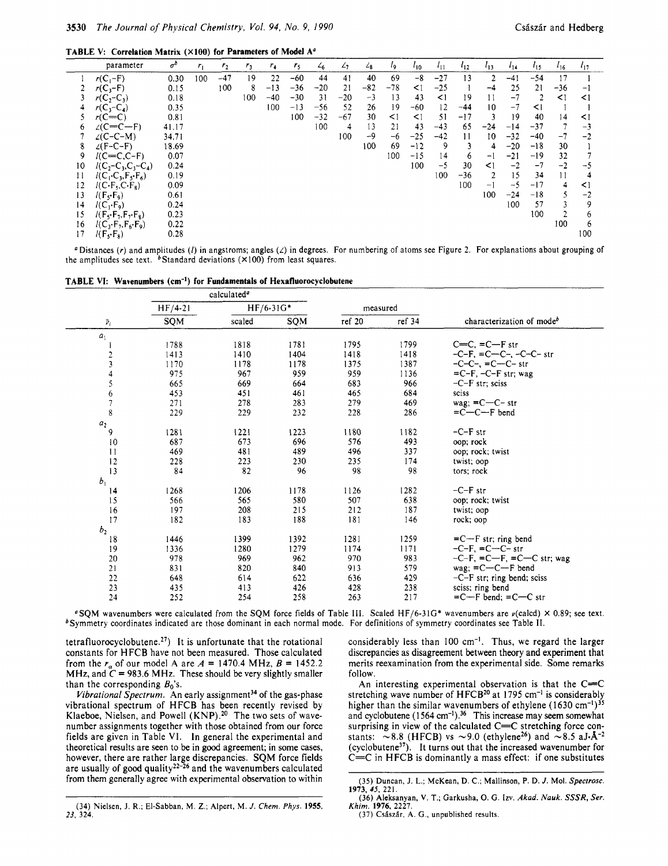|    | parameter                                            | $\sigma^{b}$ | $r_1$ | r <sub>2</sub> | r <sub>3</sub> | $r_4$ | $r_{5}$ | $\mathcal{L}_{6}$ | $\mathcal{L}_{7}$ | 48    | ٤q       | $\iota_{10}$ | $\iota_{11}$ | $l_{12}$ | $I_{13}$ | 114   | $1_{15}$ | 116      | $l_{17}$ |
|----|------------------------------------------------------|--------------|-------|----------------|----------------|-------|---------|-------------------|-------------------|-------|----------|--------------|--------------|----------|----------|-------|----------|----------|----------|
|    | $r(C_1-F)$                                           | 0.30         | 100   | $-47$          | 19             | 22    | $-60$   | 44                | 41                | 40    | 69       | $-8$         | $-27$        | 13       | 2        | $-41$ | $-54$    | 17       |          |
|    | $r(C_3-F)$                                           | 0.15         |       | 100            | 8              | $-13$ | $-36$   | $-20$             | 21                | $-82$ | $-78$    | $\leq$ 1     | $-25$        |          | $-4$     | 25    | 21       | $-36$    | $-1$     |
|    | $r(C_2 - C_3)$                                       | 0.18         |       |                | 100            | $-40$ | $-30$   | 31                | $-20$             | $-3$  | 13       | 43           | $\leq$ 1     | 19       | 11       | $-7$  | 2        | $\leq$ 1 | $\leq$ 1 |
|    | $r(C_3-C_4)$                                         | 0.35         |       |                |                | 100   | $-13$   | $-56$             | 52                | 26    | 19       | $-60$        | 12           | $-44$    | 10       | $-7$  | $\leq$ 1 |          |          |
|    | $r(C=C)$                                             | 0.81         |       |                |                |       | 100     | $-32$             | $-67$             | 30    | $\leq$ 1 | $\leq$ 1     | 51           | $-17$    |          | 19    | 40       | 14       | $\leq$ 1 |
|    | $\angle$ (C=C-F)                                     | 41.17        |       |                |                |       |         | 100               | 4                 | 13    | 21       | 43           | $-43$        | 65       | $-24$    | $-14$ | $-37$    |          | $-3$     |
|    | $\angle$ (C-C-M)                                     | 34.71        |       |                |                |       |         |                   | 100               | $-9$  | -6       | $-25$        | $-42$        | 11       | 10       | $-32$ | $-40$    | -7       | $-2$     |
| 8  | $\angle$ (F-C-F)                                     | 18.69        |       |                |                |       |         |                   |                   | 100   | 69       | $-12$        | 9            | 3        | 4        | $-20$ | $-18$    | 30       |          |
| 9  | $I(C=C,C-F)$                                         | 0.07         |       |                |                |       |         |                   |                   |       | 100      | $-15$        | 14           | 6        | -1       | $-21$ | $-19$    | 32       |          |
| 10 | $l(C_2-C_3,C_3-C_4)$                                 | 0.24         |       |                |                |       |         |                   |                   |       |          | 100          | $-5$         | 30       | $\leq$ 1 | $-2$  | $-7$     | $-2$     | -5       |
| 11 | $l(C_1 \cdot C_3, F_3 \cdot F_6)$                    | 0.19         |       |                |                |       |         |                   |                   |       |          |              | 100          | -36      | 2        | 15    | 34       | 11       |          |
| 12 | $I(C \cdot F_S, C \cdot F_S)$                        | 0.09         |       |                |                |       |         |                   |                   |       |          |              |              | 100      | - 1      | $-5$  | $-17$    | 4        | $\leq$ 1 |
| 13 | $I(F_{s} \cdot F_{q})$                               | 0.61         |       |                |                |       |         |                   |                   |       |          |              |              |          | 100      | $-24$ | $-18$    |          | $-2$     |
| 14 | $l(C_1 \cdot F_9)$                                   | 0.24         |       |                |                |       |         |                   |                   |       |          |              |              |          |          | 100   | 57       |          | 9        |
| 15 | $I(F_{s} \cdot F_{\tau}, F_{\tau} \cdot F_{\kappa})$ | 0.23         |       |                |                |       |         |                   |                   |       |          |              |              |          |          |       | 100      |          | 6        |
| 16 | $I(C_3 \cdot F_2, F_6 \cdot F_9)$                    | 0.22         |       |                |                |       |         |                   |                   |       |          |              |              |          |          |       |          | 100      | 6        |
|    | $I(F_5 \cdot F_8)$                                   | 0.28         |       |                |                |       |         |                   |                   |       |          |              |              |          |          |       |          |          | 100      |

'Distances *(r)* and amplitudes (/) in angstroms; angles *(L)* in degrees. For numbering of atoms see Figure 2. For explanations about grouping of the amplitudes see text. bStandard deviations **(XIOO)** from least squares.

|  |  |  |  |  |  | <b>TABLE VI: Wavenumbers (cm<sup>-1</sup>) for Fundamentals of Hexafluorocyclobutene</b> |
|--|--|--|--|--|--|------------------------------------------------------------------------------------------|
|--|--|--|--|--|--|------------------------------------------------------------------------------------------|

|                |           | calculated <sup>a</sup> |             |        |          |                                       |
|----------------|-----------|-------------------------|-------------|--------|----------|---------------------------------------|
|                | $HF/4-21$ |                         | $HF/6-31G*$ |        | measured |                                       |
| $\bar{\nu}_i$  | SQM       | scaled                  | SQM         | ref 20 | ref 34   | characterization of mode <sup>b</sup> |
| a <sub>1</sub> |           |                         |             |        |          |                                       |
|                | 1788      | 1818                    | 1781        | 1795   | 1799     | $C=C, =C-F$ str                       |
|                | 1413      | 1410                    | 1404        | 1418   | 1418     | $-C-F$ , $= C-C$ , $-C-C$ str         |
| $\frac{2}{3}$  | 1170      | 1178                    | 1178        | 1375   | 1387     | $-C-C-$ , = $C-C-$ str                |
| $\ddot{4}$     | 975       | 967                     | 959         | 959    | 1136     | $=C-F$ , $-C-F$ str; wag              |
| 5              | 665       | 669                     | 664         | 683    | 966      | $-C-F$ str; sciss                     |
|                | 453       | 451                     | 461         | 465    | 684      | sciss                                 |
| $\frac{6}{7}$  | 271       | 278                     | 283         | 279    | 469      | wag: $=C-C-$ str                      |
| 8              | 229       | 229                     | 232         | 228    | 286      | $= C - C - F$ bend                    |
| $a_2$          |           |                         |             |        |          |                                       |
| 9              | 1281      | 1221                    | 1223        | 1180   | 1182     | $-C-F$ str                            |
| 10             | 687       | 673                     | 696         | 576    | 493      | oop; rock                             |
| $\mathbf{1}$   | 469       | 481                     | 489         | 496    | 337      | oop; rock; twist                      |
| 12             | 228       | 223                     | 230         | 235    | 174      | twist; oop                            |
| 13             | 84        | 82                      | 96          | 98     | 98       | tors; rock                            |
| b <sub>1</sub> |           |                         |             |        |          |                                       |
| 14             | 1268      | 1206                    | 1178        | 1126   | 1282     | $-C-F$ str                            |
| 15             | 566       | 565                     | 580         | 507    | 638      | oop; rock; twist                      |
| 16             | 197       | 208                     | 215         | 212    | 187      | twist; oop                            |
| 17             | 182       | 183                     | 188         | 181    | 146      | rock; oop                             |
| b <sub>2</sub> |           |                         |             |        |          |                                       |
| 18             | 1446      | 1399                    | 1392        | 1281   | 1259     | $= C - F$ str; ring bend              |
| 19             | 1336      | 1280                    | 1279        | 1174   | 1171     | $-C-F$ , $=C-C-str$                   |
| 20             | 978       | 969                     | 962         | 970    | 983      | $-C-F$ , $= C-F$ , $= C-C$ str; wag   |
| 21             | 831       | 820                     | 840         | 913    | 579      | wag; $= C - C - F$ bend               |
| 22             | 648       | 614                     | 622         | 636    | 429      | $-C-F$ str; ring bend; sciss          |
| 23             | 435       | 413                     | 426         | 428    | 238      | sciss; ring bend                      |
| 24             | 252       | 254                     | 258         | 263    | 217      | $=$ C $-$ F bend: $=$ C $-$ C str     |

**OSQM** wavenumbers were calculated from the **SQM** force fields of Table Ill. Scaled HF/6-31G\* wavenumbers are u(ca1cd) **X** 0.89; see text. \*Symmetry coordinates indicated are those dominant in each normal mode. For definitions of symmetry coordinates see Table **11.** 

 $tetrafluorocyclobutene.<sup>27</sup>$  It is unfortunate that the rotational constants for HFCB have not been measured. Those calculated from the  $r_a$  of our model A are  $A = 1470.4$  MHz,  $B = 1452.2$ **MHz, and**  $\hat{C}$  **= 983.6 MHz.** These should be very slightly smaller than the corresponding *Bo's.* 

*Vibrational Spectrum.* An early assignment34 of the gas-phase vibrational spectrum of H FCB has been recently revised by Klaeboe, Nielsen, and Powell (KNP).<sup>20</sup> The two sets of wavenumber assignments together with those obtained from our force fields are given in Table **VI.** In general the experimental and theoretical results are seen to be in **good** agreement; in some cases, however, there are rather large discrepancies. SQM force fields are usually of good quality<sup>22-26</sup> and the wavenumbers calculated from them generally agree with experimental observation to within

considerably less than  $100 \text{ cm}^{-1}$ . Thus, we regard the larger discrepancies as disagreement between theory and experiment that merits reexamination from the experimental side. Some remarks follow.

An interesting experimental observation is that the  $C=C$ stretching wave number of HFCB<sup>20</sup> at 1795 cm<sup>-1</sup> is considerably higher than the similar wavenumbers of ethylene **(1630**  and cyclobutene (1564 cm<sup>-1</sup>).<sup>36</sup> This increase may seem somewhat surprising in view of the calculated C=C stretching force constants:  $\sim$ 8.8 (HFCB) vs  $\sim$ 9.0 (ethylene<sup>26</sup>) and  $\sim$ 8.5 aJ·Å<sup>-2</sup> (cyclobutene<sup>37</sup>). It turns out that the increased wavenumber for  $C=C$  in HFCB is dominantly a mass effect: if one substitutes

<sup>(35)</sup> Duncan, J. L.; McKean, D. C.; Mallinson, P. D. *J.* Mol. *Spectrosc.*  **1973,** *45,* 221.

<sup>(34)</sup> Nielsen, **J. R.;** El-Sabban, M. *2.;* Alpert, M. *J. Chem. Phys.* **1955, 23, 324.** 

<sup>(36)</sup> Aleksanyan, **V.** T.; Garkusha, 0. G. Izv. *Akad. Nauk. SSSR, Ser. Khim.* **1976.** 2221.

<sup>(37)</sup> Császár, A. G., unpublished results.